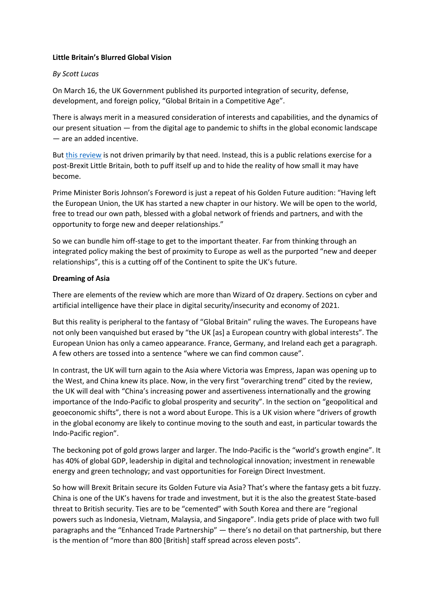#### **Little Britain's Blurred Global Vision**

## *By Scott Lucas*

On March 16, the UK Government published its purported integration of security, defense, development, and foreign policy, "Global Britain in a Competitive Age".

There is always merit in a measured consideration of interests and capabilities, and the dynamics of our present situation — from the digital age to pandemic to shifts in the global economic landscape — are an added incentive.

But [this review](https://www.gov.uk/government/publications/global-britain-in-a-competitive-age-the-integrated-review-of-security-defence-development-and-foreign-policy/global-britain-in-a-competitive-age-the-integrated-review-of-security-defence-development-and-foreign-policy) is not driven primarily by that need. Instead, this is a public relations exercise for a post-Brexit Little Britain, both to puff itself up and to hide the reality of how small it may have become.

Prime Minister Boris Johnson's Foreword is just a repeat of his Golden Future audition: "Having left the European Union, the UK has started a new chapter in our history. We will be open to the world, free to tread our own path, blessed with a global network of friends and partners, and with the opportunity to forge new and deeper relationships."

So we can bundle him off-stage to get to the important theater. Far from thinking through an integrated policy making the best of proximity to Europe as well as the purported "new and deeper relationships", this is a cutting off of the Continent to spite the UK's future.

## **Dreaming of Asia**

There are elements of the review which are more than Wizard of Oz drapery. Sections on cyber and artificial intelligence have their place in digital security/insecurity and economy of 2021.

But this reality is peripheral to the fantasy of "Global Britain" ruling the waves. The Europeans have not only been vanquished but erased by "the UK [as] a European country with global interests". The European Union has only a cameo appearance. France, Germany, and Ireland each get a paragraph. A few others are tossed into a sentence "where we can find common cause".

In contrast, the UK will turn again to the Asia where Victoria was Empress, Japan was opening up to the West, and China knew its place. Now, in the very first "overarching trend" cited by the review, the UK will deal with "China's increasing power and assertiveness internationally and the growing importance of the Indo-Pacific to global prosperity and security". In the section on "geopolitical and geoeconomic shifts", there is not a word about Europe. This is a UK vision where "drivers of growth in the global economy are likely to continue moving to the south and east, in particular towards the Indo-Pacific region".

The beckoning pot of gold grows larger and larger. The Indo-Pacific is the "world's growth engine". It has 40% of global GDP, leadership in digital and technological innovation; investment in renewable energy and green technology; and vast opportunities for Foreign Direct Investment.

So how will Brexit Britain secure its Golden Future via Asia? That's where the fantasy gets a bit fuzzy. China is one of the UK's havens for trade and investment, but it is the also the greatest State-based threat to British security. Ties are to be "cemented" with South Korea and there are "regional powers such as Indonesia, Vietnam, Malaysia, and Singapore". India gets pride of place with two full paragraphs and the "Enhanced Trade Partnership" — there's no detail on that partnership, but there is the mention of "more than 800 [British] staff spread across eleven posts".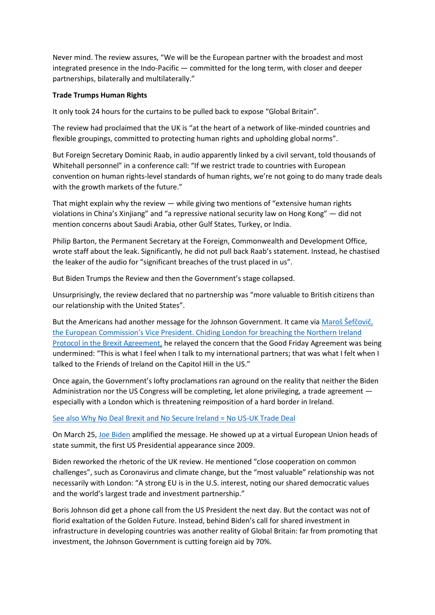Never mind. The review assures, "We will be the European partner with the broadest and most integrated presence in the Indo-Pacific — committed for the long term, with closer and deeper partnerships, bilaterally and multilaterally."

## **Trade Trumps Human Rights**

It only took 24 hours for the curtains to be pulled back to expose "Global Britain".

The review had proclaimed that the UK is "at the heart of a network of like-minded countries and flexible groupings, committed to protecting human rights and upholding global norms".

But Foreign Secretary Dominic Raab, in audio apparently linked by a civil servant, told thousands of Whitehall personnel" in a conference call: "If we restrict trade to countries with European convention on human rights-level standards of human rights, we're not going to do many trade deals with the growth markets of the future."

That might explain why the review — while giving two mentions of "extensive human rights violations in China's Xinjiang" and "a repressive national security law on Hong Kong" — did not mention concerns about Saudi Arabia, other Gulf States, Turkey, or India.

Philip Barton, the Permanent Secretary at the Foreign, Commonwealth and Development Office, wrote staff about the leak. Significantly, he did not pull back Raab's statement. Instead, he chastised the leaker of the audio for "significant breaches of the trust placed in us".

But Biden Trumps the Review and then the Government's stage collapsed.

Unsurprisingly, the review declared that no partnership was "more valuable to British citizens than our relationship with the United States".

But the Americans had another message for the Johnson Government. It came via Maroš Šefčovič, [the European Commission's Vice President. Chiding London for breaching the Northern Ireland](https://www.theguardian.com/politics/2021/mar/18/dominic-raab-totally-misunderstands-northern-ireland-brexit-terms-warns-eu)  [Protocol in the Brexit Agreement,](https://www.theguardian.com/politics/2021/mar/18/dominic-raab-totally-misunderstands-northern-ireland-brexit-terms-warns-eu) he relayed the concern that the Good Friday Agreement was being undermined: "This is what I feel when I talk to my international partners; that was what I felt when I talked to the Friends of Ireland on the Capitol Hill in the US."

Once again, the Government's lofty proclamations ran aground on the reality that neither the Biden Administration nor the US Congress will be completing, let alone privileging, a trade agreement especially with a London which is threatening reimposition of a hard border in Ireland.

# [See also Why No Deal Brexit and No Secure Ireland = No US-UK Trade Deal](https://eaworldview.com/2020/09/us-uk-trade-deal-brexit-ireland)

On March 25, [Joe Biden](https://www.whitehouse.gov/briefing-room/statements-releases/2021/03/25/president-biden-participates-in-european-council-summit) amplified the message. He showed up at a virtual European Union heads of state summit, the first US Presidential appearance since 2009.

Biden reworked the rhetoric of the UK review. He mentioned "close cooperation on common challenges", such as Coronavirus and climate change, but the "most valuable" relationship was not necessarily with London: "A strong EU is in the U.S. interest, noting our shared democratic values and the world's largest trade and investment partnership."

Boris Johnson did get a phone call from the US President the next day. But the contact was not of florid exaltation of the Golden Future. Instead, behind Biden's call for shared investment in infrastructure in developing countries was another reality of Global Britain: far from promoting that investment, the Johnson Government is cutting foreign aid by 70%.